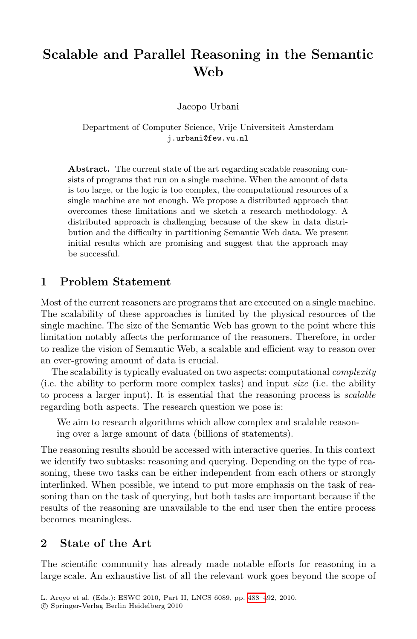# **Scalable and Parallel Reasoning in the Semantic Web**

Jacopo Urbani

Department of Computer Science, Vrije Universiteit Amsterdam j.urbani@few.vu.nl

**Abstract.** The current state of the art regarding scalable reasoning consists of programs that run on a single machine. When the amount of data is too large, or the logic is too complex, the computational resources of a single machine are not enough. We propose a distributed approach that overcomes these limitations and we sketch a research methodology. A distributed approach is challenging because of the skew in data distribution and the difficulty in partitioning Semantic Web data. We present initial results which are promising and suggest that the approach may be successful.

# **1 Problem Statement**

Most of the current reasoners are programs that are executed on a single machine. The scalability of these approaches is limited by the physical resources of the single machine. The size of the Semantic Web has grown to the point where this limitation notably affects the performance of the reasoners. Therefore, in order to realize the vision of Semantic Web, a scalable and efficient way to reason over an ever-growing amount of data is crucial.

The scalability is typically evaluated on two aspects: computational *complexity* (i.e. the ability to perform more complex tasks) and input *size* (i.e. the ability to process a larger input). It is essential that the reasoning process is *scalable* regarding both aspects. The research question we pose is:

We aim to research algorithms which allow complex and scalable reasoning over a large amount of data (billions of statements).

The reasoning results should be accessed with interactive queries. In this context we identify two subtasks: reasoning and querying. Depending on the type of reasoning, these two tasks can be either independent from each others or strongly interlinked. When possible, we intend to put more emphasis on the task of reasoning than on the task of querying, but both tasks are important because if the results of the reasoning are u[navai](#page-4-0)lable to the end user then the entire process becomes meaningless.

# **2 State of the Art**

The scientific community has already made notable efforts for reasoning in a large scale. An exhaustive list of all the relevant work goes beyond the scope of

L. Aroyo et al. (Eds.): ESWC 2010, Part II, LNCS 6089, pp. 488–492, 2010.

-c Springer-Verlag Berlin Heidelberg 2010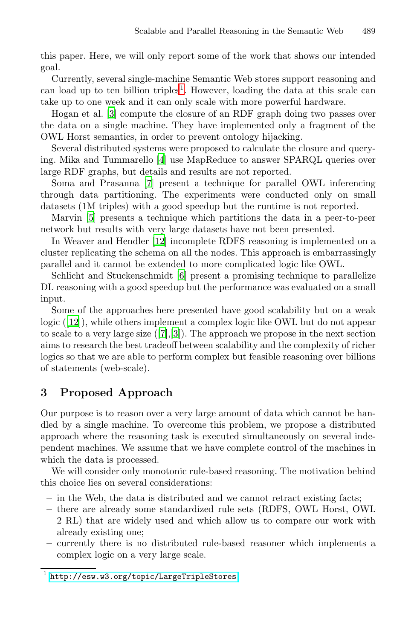this paper. Here, we will only report some of the work that shows our intended goal.

Currently, several single-machine Semantic Web stores support reasoning and can lo[ad](#page-4-1) up to ten billion triples<sup>1</sup>. However, loading the data at this scale can take up to one week and it can only scale with more powerful hardware.

Hogan et al. [3] compute the closure of an RDF graph doing two passes over the data on a single machine. They have implemented only a fragment of the OWL Horst semantics, in order to prevent ontology hijacking.

Sever[al d](#page-4-2)istributed systems were proposed to calculate the closure and querying. Mika and Tummarello [4] use MapReduce to answer SPARQL queries over large RDF graphs, but details and results are not reported.

Soma and [P](#page-4-3)rasanna [7] present a technique for parallel OWL inferencing through data partitioning. The experiments were conducted only on small datasets (1M triples) with a good speedup but the runtime is not reported.

Marvin [5] presents a technique which partitions the data in a peer-to-peer network but results with very large datasets have not been presented.

In We[av](#page-4-1)e[r a](#page-4-4)nd Hendler [12] incomplete RDFS reasoning is implemented on a cluster replicating the schema on all the nodes. This approach is embarrassingly parallel and it cannot be extended to more complicated logic like OWL.

Schlicht and Stuckenschmidt [6] present a promising technique to parallelize DL reasoning with a good speedup but the performance was evaluated on a small input.

Some of the approaches here presented have good scalability but on a weak logic ([12]), while others implement a complex logic like OWL but do not appear to scale to a very large size ([7],[3]). The approach we propose in the next section aims to research the best tradeoff between scalability and the complexity of richer logics so that we are able to perform complex but feasible reasoning over billions of statements (web-scale).

# **3 Proposed Approach**

Our purpose is to reason over a very large amount of data which cannot be handled by a single machine. To overcome this problem, we propose a distributed approach where the reasoning task is executed simultaneously on several independent machines. We assume that we have complete control of the machines in which the data is processed.

We will consider only monotonic rule-based reasoning. The motivation behind [this choice lies on several co](http://esw.w3.org/topic/LargeTripleStores)nsiderations:

- **–** in the Web, the data is distributed and we cannot retract existing facts;
- **–** there are already some standardized rule sets (RDFS, OWL Horst, OWL 2 RL) that are widely used and which allow us to compare our work with already existing one;
- **–** currently there is no distributed rule-based reasoner which implements a complex logic on a very large scale.

<sup>1</sup> http://esw.w3.org/topic/LargeTripleStores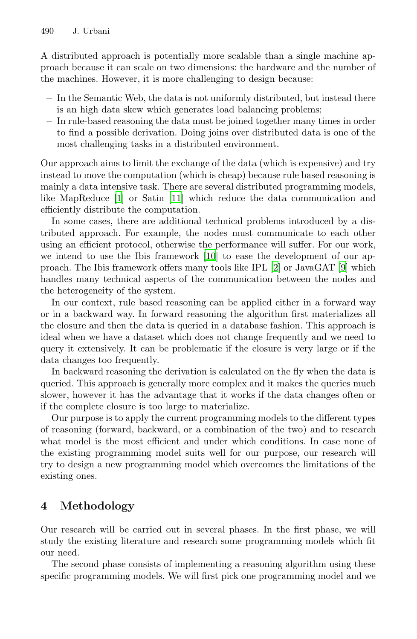#### 490 J. Urbani

A distributed approach is potentially more scalable than a single machine approach because it can scale on two dimensions: the hardware and the number of the machines. However, it is more challenging to design because:

- **–** In the Semantic Web, the data is not uniformly distributed, but instead there is an hi[gh](#page-4-5) data skew which generates load balancing problems;
- **–** In rule-based reasoning the data must be joined together many times in order to find a possible derivation. Doing joins over distributed data is one of the most challenging tasks in a distributed environment.

Our approach aims [to li](#page-4-6)mit the exchange of the data (which is expensive) and try instead to move the computation (w[hic](#page-4-7)h is cheap) be[ca](#page-4-8)use rule based reasoning is mainly a data intensive task. There are several distributed programming models, like MapReduce [1] or Satin [11] which reduce the data communication and efficiently distribute the computation.

In some cases, there are additional technical problems introduced by a distributed approach. For example, the nodes must communicate to each other using an efficient protocol, otherwise the performance will suffer. For our work, we intend to use the Ibis framework [10] to ease the development of our approach. The Ibis framework offers many tools like IPL [2] or JavaGAT [9] which handles many technical aspects of the communication between the nodes and the heterogeneity of the system.

In our context, rule based reasoning can be applied either in a forward way or in a backward way. In forward reasoning the algorithm first materializes all the closure and then the data is queried in a database fashion. This approach is ideal when we have a dataset which does not change frequently and we need to query it extensively. It can be problematic if the closure is very large or if the data changes too frequently.

In backward reasoning the derivation is calculated on the fly when the data is queried. This approach is generally more complex and it makes the queries much slower, however it has the advantage that it works if the data changes often or if the complete closure is too large to materialize.

Our purpose is to apply the current programming models to the different types of reasoning (forward, backward, or a combination of the two) and to research what model is the most efficient and under which conditions. In case none of the existing programming model suits well for our purpose, our research will try to design a new programming model which overcomes the limitations of the existing ones.

## **4 Methodology**

Our research will be carried out in several phases. In the first phase, we will study the existing literature and research some programming models which fit our need.

The second phase consists of implementing a reasoning algorithm using these specific programming models. We will first pick one programming model and we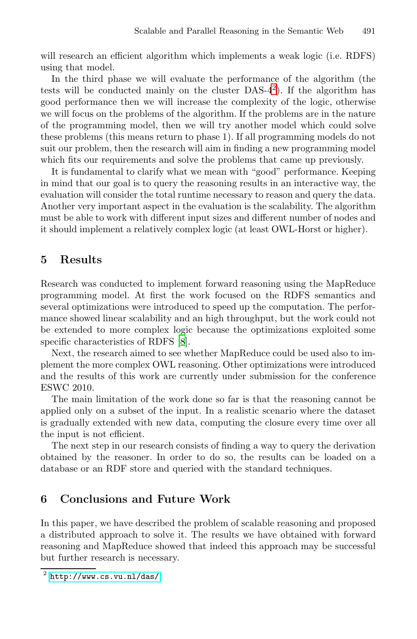will research an efficient algorithm which implements a weak logic (i.e. RDFS) using that model.

In the third phase we will evaluate the performance of the algorithm (the tests will be conducted mainly on the cluster  $DAS-4^2$ ). If the algorithm has good performance then we will increase the complexity of the logic, otherwise we will focus on the problems of the algorithm. If the problems are in the nature of the programming model, then we will try another model which could solve these problems (this means return to phase 1). If all programming models do not suit our problem, then the research will aim in finding a new programming model which fits our requirements and solve the problems that came up previously.

It is fundamental to clarify what we mean with "good" performance. Keeping in mind that our goal is to query the reasoning results in an interactive way, the evaluation will consider the total runtime necessary to reason and query the data. Another very important aspect in the evaluation is the scalability. The algorithm must be able to work with different input sizes and different number of nodes and it should implement a relatively complex logic (at least OWL-Horst or higher).

### **5 Result[s](#page-4-9)**

Research was conducted to implement forward reasoning using the MapReduce programming model. At first the work focused on the RDFS semantics and several optimizations were introduced to speed up the computation. The performance showed linear scalability and an high throughput, but the work could not be extended to more complex logic because the optimizations exploited some specific characteristics of RDFS [8].

Next, the research aimed to see whether MapReduce could be used also to implement the more complex OWL reasoning. Other optimizations were introduced and the results of this work are currently under submission for the conference ESWC 2010.

The main limitation of the work done so far is that the reasoning cannot be applied only on a subset of the input. In a realistic scenario where the dataset is gradually extended with new data, computing the closure every time over all the input is not efficient.

The next step in our research consists of finding a way to query the derivation obtained by the reasoner. In order to do so, the results can be loaded on a database or an RDF store and queried with the standard techniques.

# **6 Conclusions and Future Work**

In this paper, we have described the problem of scalable reasoning and proposed a distributed approach to solve it. The results we have obtained with forward reasoning and MapReduce showed that indeed this approach may be successful but further research is necessary.

 $^{2}$  http://www.cs.vu.nl/das/